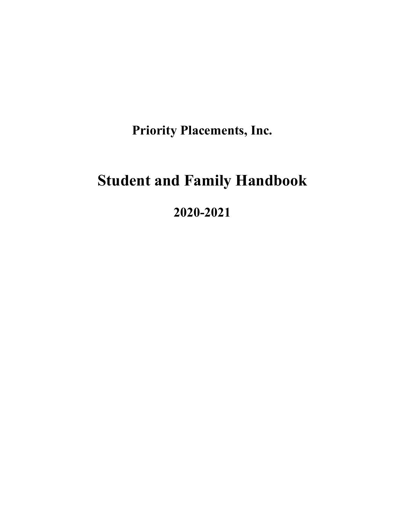**Priority Placements, Inc.**

# **Student and Family Handbook**

**2020-2021**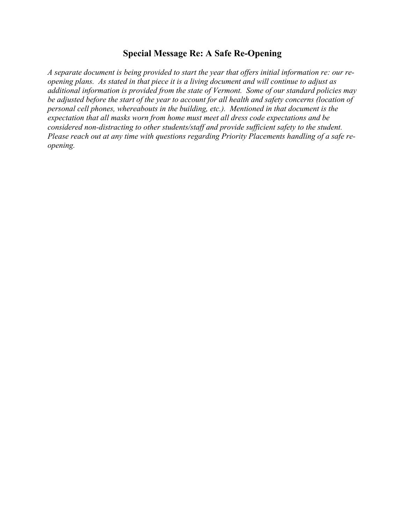#### **Special Message Re: A Safe Re-Opening**

*A separate document is being provided to start the year that offers initial information re: our reopening plans. As stated in that piece it is a living document and will continue to adjust as additional information is provided from the state of Vermont. Some of our standard policies may be adjusted before the start of the year to account for all health and safety concerns (location of personal cell phones, whereabouts in the building, etc.). Mentioned in that document is the expectation that all masks worn from home must meet all dress code expectations and be considered non-distracting to other students/staff and provide sufficient safety to the student. Please reach out at any time with questions regarding Priority Placements handling of a safe reopening.*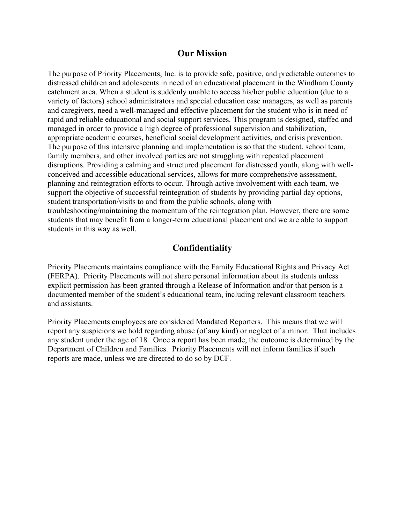#### **Our Mission**

The purpose of Priority Placements, Inc. is to provide safe, positive, and predictable outcomes to distressed children and adolescents in need of an educational placement in the Windham County catchment area. When a student is suddenly unable to access his/her public education (due to a variety of factors) school administrators and special education case managers, as well as parents and caregivers, need a well-managed and effective placement for the student who is in need of rapid and reliable educational and social support services. This program is designed, staffed and managed in order to provide a high degree of professional supervision and stabilization, appropriate academic courses, beneficial social development activities, and crisis prevention. The purpose of this intensive planning and implementation is so that the student, school team, family members, and other involved parties are not struggling with repeated placement disruptions. Providing a calming and structured placement for distressed youth, along with wellconceived and accessible educational services, allows for more comprehensive assessment, planning and reintegration efforts to occur. Through active involvement with each team, we support the objective of successful reintegration of students by providing partial day options, student transportation/visits to and from the public schools, along with troubleshooting/maintaining the momentum of the reintegration plan. However, there are some students that may benefit from a longer-term educational placement and we are able to support students in this way as well.

#### **Confidentiality**

Priority Placements maintains compliance with the Family Educational Rights and Privacy Act (FERPA). Priority Placements will not share personal information about its students unless explicit permission has been granted through a Release of Information and/or that person is a documented member of the student's educational team, including relevant classroom teachers and assistants.

Priority Placements employees are considered Mandated Reporters. This means that we will report any suspicions we hold regarding abuse (of any kind) or neglect of a minor. That includes any student under the age of 18. Once a report has been made, the outcome is determined by the Department of Children and Families. Priority Placements will not inform families if such reports are made, unless we are directed to do so by DCF.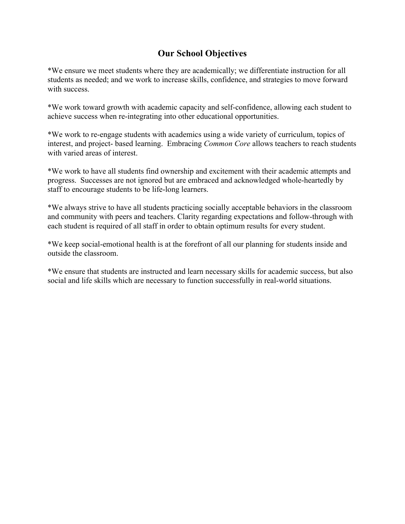## **Our School Objectives**

\*We ensure we meet students where they are academically; we differentiate instruction for all students as needed; and we work to increase skills, confidence, and strategies to move forward with success.

\*We work toward growth with academic capacity and self-confidence, allowing each student to achieve success when re-integrating into other educational opportunities.

\*We work to re-engage students with academics using a wide variety of curriculum, topics of interest, and project- based learning. Embracing *Common Core* allows teachers to reach students with varied areas of interest.

\*We work to have all students find ownership and excitement with their academic attempts and progress. Successes are not ignored but are embraced and acknowledged whole-heartedly by staff to encourage students to be life-long learners.

\*We always strive to have all students practicing socially acceptable behaviors in the classroom and community with peers and teachers. Clarity regarding expectations and follow-through with each student is required of all staff in order to obtain optimum results for every student.

\*We keep social-emotional health is at the forefront of all our planning for students inside and outside the classroom.

\*We ensure that students are instructed and learn necessary skills for academic success, but also social and life skills which are necessary to function successfully in real-world situations.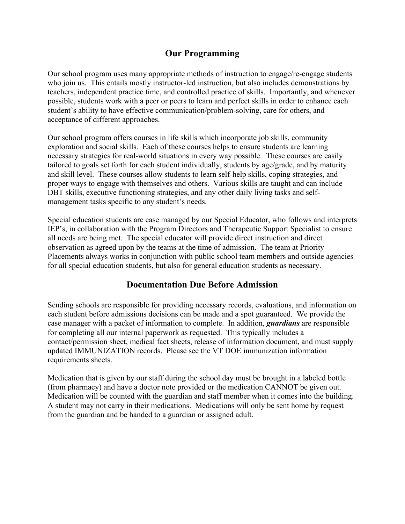## **Our Programming**

Our school program uses many appropriate methods of instruction to engage/re-engage students who join us. This entails mostly instructor-led instruction, but also includes demonstrations by teachers, independent practice time, and controlled practice of skills. Importantly, and whenever possible, students work with a peer or peers to learn and perfect skills in order to enhance each student's ability to have effective communication/problem-solving, care for others, and acceptance of different approaches.

Our school program offers courses in life skills which incorporate job skills, community exploration and social skills. Each of these courses helps to ensure students are learning necessary strategies for real-world situations in every way possible. These courses are easily tailored to goals set forth for each student individually, students by age/grade, and by maturity and skill level. These courses allow students to learn self-help skills, coping strategies, and proper ways to engage with themselves and others. Various skills are taught and can include DBT skills, executive functioning strategies, and any other daily living tasks and selfmanagement tasks specific to any student's needs.

Special education students are case managed by our Special Educator, who follows and interprets IEP's, in collaboration with the Program Directors and Therapeutic Support Specialist to ensure all needs are being met. The special educator will provide direct instruction and direct observation as agreed upon by the teams at the time of admission. The team at Priority Placements always works in conjunction with public school team members and outside agencies for all special education students, but also for general education students as necessary.

## **Documentation Due Before Admission**

Sending schools are responsible for providing necessary records, evaluations, and information on each student before admissions decisions can be made and a spot guaranteed. We provide the case manager with a packet of information to complete. In addition, *guardians* are responsible for completing all our internal paperwork as requested. This typically includes a contact/permission sheet, medical fact sheets, release of information document, and must supply updated IMMUNIZATION records. Please see the VT DOE immunization information requirements sheets.

Medication that is given by our staff during the school day must be brought in a labeled bottle (from pharmacy) and have a doctor note provided or the medication CANNOT be given out. Medication will be counted with the guardian and staff member when it comes into the building. A student may not carry in their medications. Medications will only be sent home by request from the guardian and be handed to a guardian or assigned adult.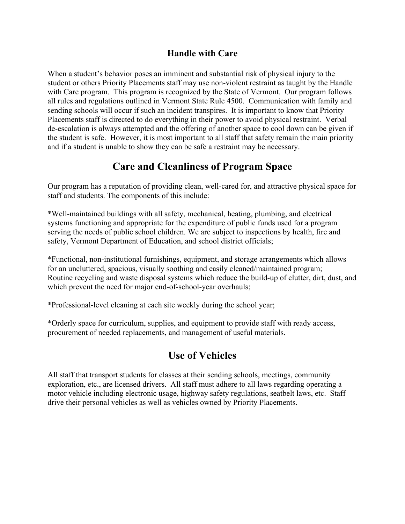#### **Handle with Care**

When a student's behavior poses an imminent and substantial risk of physical injury to the student or others Priority Placements staff may use non-violent restraint as taught by the Handle with Care program. This program is recognized by the State of Vermont. Our program follows all rules and regulations outlined in Vermont State Rule 4500. Communication with family and sending schools will occur if such an incident transpires. It is important to know that Priority Placements staff is directed to do everything in their power to avoid physical restraint. Verbal de-escalation is always attempted and the offering of another space to cool down can be given if the student is safe. However, it is most important to all staff that safety remain the main priority and if a student is unable to show they can be safe a restraint may be necessary.

## **Care and Cleanliness of Program Space**

Our program has a reputation of providing clean, well-cared for, and attractive physical space for staff and students. The components of this include:

\*Well-maintained buildings with all safety, mechanical, heating, plumbing, and electrical systems functioning and appropriate for the expenditure of public funds used for a program serving the needs of public school children. We are subject to inspections by health, fire and safety, Vermont Department of Education, and school district officials;

\*Functional, non-institutional furnishings, equipment, and storage arrangements which allows for an uncluttered, spacious, visually soothing and easily cleaned/maintained program; Routine recycling and waste disposal systems which reduce the build-up of clutter, dirt, dust, and which prevent the need for major end-of-school-year overhauls;

\*Professional-level cleaning at each site weekly during the school year;

\*Orderly space for curriculum, supplies, and equipment to provide staff with ready access, procurement of needed replacements, and management of useful materials.

# **Use of Vehicles**

All staff that transport students for classes at their sending schools, meetings, community exploration, etc., are licensed drivers. All staff must adhere to all laws regarding operating a motor vehicle including electronic usage, highway safety regulations, seatbelt laws, etc. Staff drive their personal vehicles as well as vehicles owned by Priority Placements.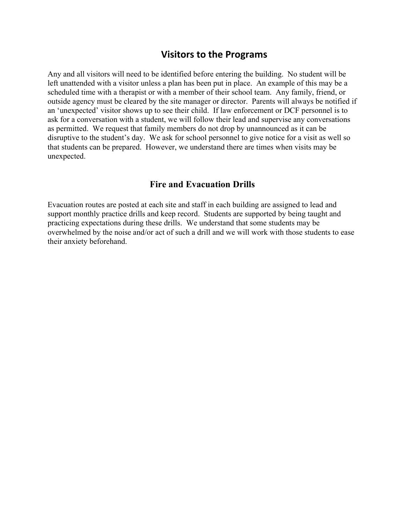## **Visitors to the Programs**

Any and all visitors will need to be identified before entering the building. No student will be left unattended with a visitor unless a plan has been put in place. An example of this may be a scheduled time with a therapist or with a member of their school team. Any family, friend, or outside agency must be cleared by the site manager or director. Parents will always be notified if an 'unexpected' visitor shows up to see their child. If law enforcement or DCF personnel is to ask for a conversation with a student, we will follow their lead and supervise any conversations as permitted. We request that family members do not drop by unannounced as it can be disruptive to the student's day. We ask for school personnel to give notice for a visit as well so that students can be prepared. However, we understand there are times when visits may be unexpected.

#### **Fire and Evacuation Drills**

Evacuation routes are posted at each site and staff in each building are assigned to lead and support monthly practice drills and keep record. Students are supported by being taught and practicing expectations during these drills. We understand that some students may be overwhelmed by the noise and/or act of such a drill and we will work with those students to ease their anxiety beforehand.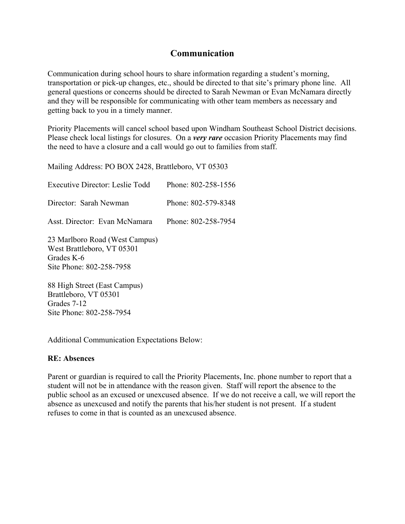#### **Communication**

Communication during school hours to share information regarding a student's morning, transportation or pick-up changes, etc., should be directed to that site's primary phone line. All general questions or concerns should be directed to Sarah Newman or Evan McNamara directly and they will be responsible for communicating with other team members as necessary and getting back to you in a timely manner.

Priority Placements will cancel school based upon Windham Southeast School District decisions. Please check local listings for closures. On a *very rare* occasion Priority Placements may find the need to have a closure and a call would go out to families from staff.

Mailing Address: PO BOX 2428, Brattleboro, VT 05303

| Executive Director: Leslie Todd                                                                        | Phone: 802-258-1556 |
|--------------------------------------------------------------------------------------------------------|---------------------|
| Director: Sarah Newman                                                                                 | Phone: 802-579-8348 |
| Asst Director: Evan McNamara                                                                           | Phone: 802-258-7954 |
| 23 Marlboro Road (West Campus)<br>West Brattleboro, VT 05301<br>Grades K-6<br>Site Phone: 802-258-7958 |                     |
| 88 High Street (East Campus)<br>Rrattleboro VT 05301                                                   |                     |

Brattleboro, VT 05301 Grades 7-12 Site Phone: 802-258-7954

Additional Communication Expectations Below:

#### **RE: Absences**

Parent or guardian is required to call the Priority Placements, Inc. phone number to report that a student will not be in attendance with the reason given. Staff will report the absence to the public school as an excused or unexcused absence. If we do not receive a call, we will report the absence as unexcused and notify the parents that his/her student is not present. If a student refuses to come in that is counted as an unexcused absence.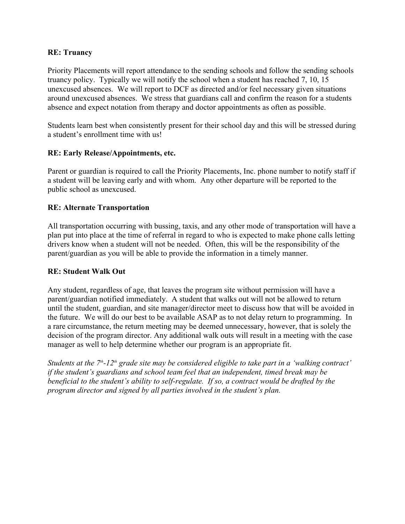#### **RE: Truancy**

Priority Placements will report attendance to the sending schools and follow the sending schools truancy policy. Typically we will notify the school when a student has reached 7, 10, 15 unexcused absences. We will report to DCF as directed and/or feel necessary given situations around unexcused absences. We stress that guardians call and confirm the reason for a students absence and expect notation from therapy and doctor appointments as often as possible.

Students learn best when consistently present for their school day and this will be stressed during a student's enrollment time with us!

#### **RE: Early Release/Appointments, etc.**

Parent or guardian is required to call the Priority Placements, Inc. phone number to notify staff if a student will be leaving early and with whom. Any other departure will be reported to the public school as unexcused.

#### **RE: Alternate Transportation**

All transportation occurring with bussing, taxis, and any other mode of transportation will have a plan put into place at the time of referral in regard to who is expected to make phone calls letting drivers know when a student will not be needed. Often, this will be the responsibility of the parent/guardian as you will be able to provide the information in a timely manner.

#### **RE: Student Walk Out**

Any student, regardless of age, that leaves the program site without permission will have a parent/guardian notified immediately. A student that walks out will not be allowed to return until the student, guardian, and site manager/director meet to discuss how that will be avoided in the future. We will do our best to be available ASAP as to not delay return to programming. In a rare circumstance, the return meeting may be deemed unnecessary, however, that is solely the decision of the program director. Any additional walk outs will result in a meeting with the case manager as well to help determine whether our program is an appropriate fit.

*Students at the 7th-12th grade site may be considered eligible to take part in a 'walking contract' if the student's guardians and school team feel that an independent, timed break may be beneficial to the student's ability to self-regulate. If so, a contract would be drafted by the program director and signed by all parties involved in the student's plan.*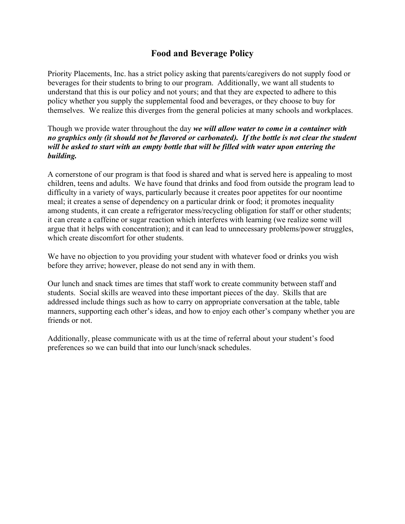## **Food and Beverage Policy**

Priority Placements, Inc. has a strict policy asking that parents/caregivers do not supply food or beverages for their students to bring to our program. Additionally, we want all students to understand that this is our policy and not yours; and that they are expected to adhere to this policy whether you supply the supplemental food and beverages, or they choose to buy for themselves. We realize this diverges from the general policies at many schools and workplaces.

Though we provide water throughout the day *we will allow water to come in a container with no graphics only (it should not be flavored or carbonated). If the bottle is not clear the student will be asked to start with an empty bottle that will be filled with water upon entering the building.*

A cornerstone of our program is that food is shared and what is served here is appealing to most children, teens and adults. We have found that drinks and food from outside the program lead to difficulty in a variety of ways, particularly because it creates poor appetites for our noontime meal; it creates a sense of dependency on a particular drink or food; it promotes inequality among students, it can create a refrigerator mess/recycling obligation for staff or other students; it can create a caffeine or sugar reaction which interferes with learning (we realize some will argue that it helps with concentration); and it can lead to unnecessary problems/power struggles, which create discomfort for other students.

We have no objection to you providing your student with whatever food or drinks you wish before they arrive; however, please do not send any in with them.

Our lunch and snack times are times that staff work to create community between staff and students. Social skills are weaved into these important pieces of the day. Skills that are addressed include things such as how to carry on appropriate conversation at the table, table manners, supporting each other's ideas, and how to enjoy each other's company whether you are friends or not.

Additionally, please communicate with us at the time of referral about your student's food preferences so we can build that into our lunch/snack schedules.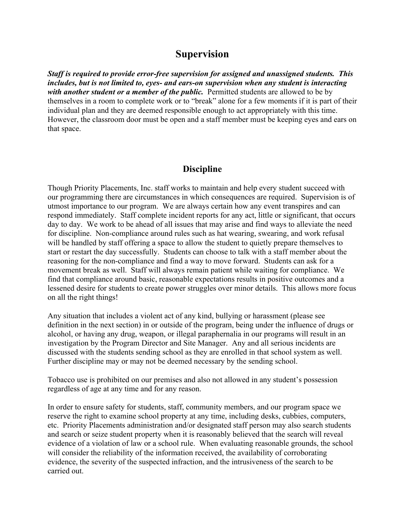## **Supervision**

*Staff is required to provide error-free supervision for assigned and unassigned students. This includes, but is not limited to, eyes- and ears-on supervision when any student is interacting with another student or a member of the public.* Permitted students are allowed to be by themselves in a room to complete work or to "break" alone for a few moments if it is part of their individual plan and they are deemed responsible enough to act appropriately with this time. However, the classroom door must be open and a staff member must be keeping eyes and ears on that space.

#### **Discipline**

Though Priority Placements, Inc. staff works to maintain and help every student succeed with our programming there are circumstances in which consequences are required. Supervision is of utmost importance to our program. We are always certain how any event transpires and can respond immediately. Staff complete incident reports for any act, little or significant, that occurs day to day. We work to be ahead of all issues that may arise and find ways to alleviate the need for discipline. Non-compliance around rules such as hat wearing, swearing, and work refusal will be handled by staff offering a space to allow the student to quietly prepare themselves to start or restart the day successfully. Students can choose to talk with a staff member about the reasoning for the non-compliance and find a way to move forward. Students can ask for a movement break as well. Staff will always remain patient while waiting for compliance. We find that compliance around basic, reasonable expectations results in positive outcomes and a lessened desire for students to create power struggles over minor details. This allows more focus on all the right things!

Any situation that includes a violent act of any kind, bullying or harassment (please see definition in the next section) in or outside of the program, being under the influence of drugs or alcohol, or having any drug, weapon, or illegal paraphernalia in our programs will result in an investigation by the Program Director and Site Manager. Any and all serious incidents are discussed with the students sending school as they are enrolled in that school system as well. Further discipline may or may not be deemed necessary by the sending school.

Tobacco use is prohibited on our premises and also not allowed in any student's possession regardless of age at any time and for any reason.

In order to ensure safety for students, staff, community members, and our program space we reserve the right to examine school property at any time, including desks, cubbies, computers, etc. Priority Placements administration and/or designated staff person may also search students and search or seize student property when it is reasonably believed that the search will reveal evidence of a violation of law or a school rule. When evaluating reasonable grounds, the school will consider the reliability of the information received, the availability of corroborating evidence, the severity of the suspected infraction, and the intrusiveness of the search to be carried out.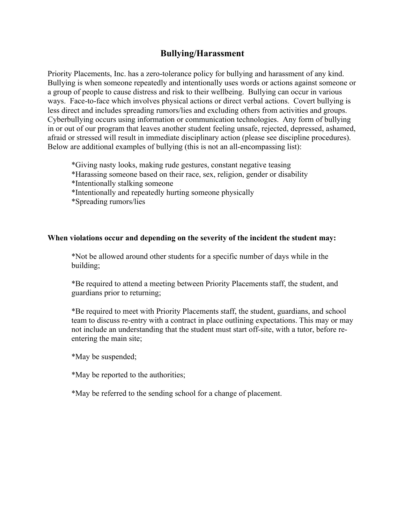#### **Bullying/Harassment**

Priority Placements, Inc. has a zero-tolerance policy for bullying and harassment of any kind. Bullying is when someone repeatedly and intentionally uses words or actions against someone or a group of people to cause distress and risk to their wellbeing. Bullying can occur in various ways. Face-to-face which involves physical actions or direct verbal actions. Covert bullying is less direct and includes spreading rumors/lies and excluding others from activities and groups. Cyberbullying occurs using information or communication technologies. Any form of bullying in or out of our program that leaves another student feeling unsafe, rejected, depressed, ashamed, afraid or stressed will result in immediate disciplinary action (please see discipline procedures). Below are additional examples of bullying (this is not an all-encompassing list):

\*Giving nasty looks, making rude gestures, constant negative teasing

- \*Harassing someone based on their race, sex, religion, gender or disability
- \*Intentionally stalking someone
- \*Intentionally and repeatedly hurting someone physically
- \*Spreading rumors/lies

#### **When violations occur and depending on the severity of the incident the student may:**

\*Not be allowed around other students for a specific number of days while in the building;

\*Be required to attend a meeting between Priority Placements staff, the student, and guardians prior to returning;

\*Be required to meet with Priority Placements staff, the student, guardians, and school team to discuss re-entry with a contract in place outlining expectations. This may or may not include an understanding that the student must start off-site, with a tutor, before reentering the main site;

\*May be suspended;

\*May be reported to the authorities;

\*May be referred to the sending school for a change of placement.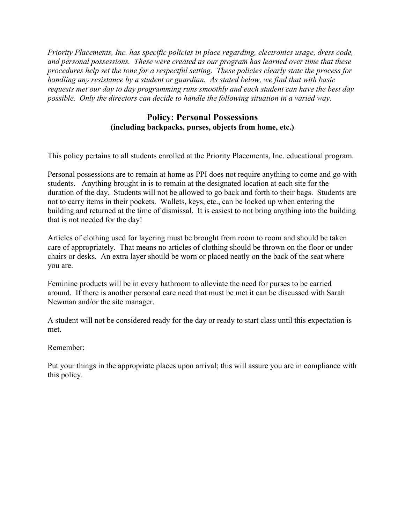*Priority Placements, Inc. has specific policies in place regarding, electronics usage, dress code, and personal possessions. These were created as our program has learned over time that these procedures help set the tone for a respectful setting. These policies clearly state the process for handling any resistance by a student or guardian. As stated below, we find that with basic requests met our day to day programming runs smoothly and each student can have the best day possible. Only the directors can decide to handle the following situation in a varied way.*

#### **Policy: Personal Possessions (including backpacks, purses, objects from home, etc.)**

This policy pertains to all students enrolled at the Priority Placements, Inc. educational program.

Personal possessions are to remain at home as PPI does not require anything to come and go with students. Anything brought in is to remain at the designated location at each site for the duration of the day. Students will not be allowed to go back and forth to their bags. Students are not to carry items in their pockets. Wallets, keys, etc., can be locked up when entering the building and returned at the time of dismissal. It is easiest to not bring anything into the building that is not needed for the day!

Articles of clothing used for layering must be brought from room to room and should be taken care of appropriately. That means no articles of clothing should be thrown on the floor or under chairs or desks. An extra layer should be worn or placed neatly on the back of the seat where you are.

Feminine products will be in every bathroom to alleviate the need for purses to be carried around. If there is another personal care need that must be met it can be discussed with Sarah Newman and/or the site manager.

A student will not be considered ready for the day or ready to start class until this expectation is met.

Remember:

Put your things in the appropriate places upon arrival; this will assure you are in compliance with this policy.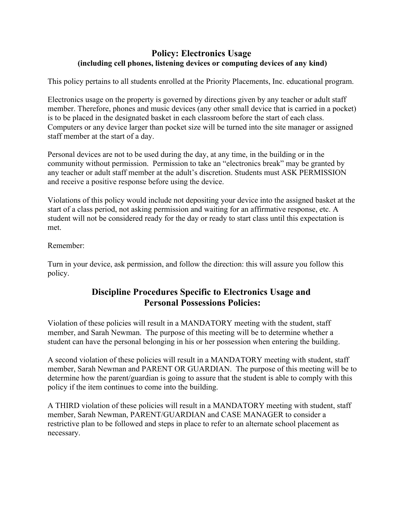#### **Policy: Electronics Usage (including cell phones, listening devices or computing devices of any kind)**

This policy pertains to all students enrolled at the Priority Placements, Inc. educational program.

Electronics usage on the property is governed by directions given by any teacher or adult staff member. Therefore, phones and music devices (any other small device that is carried in a pocket) is to be placed in the designated basket in each classroom before the start of each class. Computers or any device larger than pocket size will be turned into the site manager or assigned staff member at the start of a day.

Personal devices are not to be used during the day, at any time, in the building or in the community without permission. Permission to take an "electronics break" may be granted by any teacher or adult staff member at the adult's discretion. Students must ASK PERMISSION and receive a positive response before using the device.

Violations of this policy would include not depositing your device into the assigned basket at the start of a class period, not asking permission and waiting for an affirmative response, etc. A student will not be considered ready for the day or ready to start class until this expectation is met.

#### Remember:

Turn in your device, ask permission, and follow the direction: this will assure you follow this policy.

## **Discipline Procedures Specific to Electronics Usage and Personal Possessions Policies:**

Violation of these policies will result in a MANDATORY meeting with the student, staff member, and Sarah Newman. The purpose of this meeting will be to determine whether a student can have the personal belonging in his or her possession when entering the building.

A second violation of these policies will result in a MANDATORY meeting with student, staff member, Sarah Newman and PARENT OR GUARDIAN. The purpose of this meeting will be to determine how the parent/guardian is going to assure that the student is able to comply with this policy if the item continues to come into the building.

A THIRD violation of these policies will result in a MANDATORY meeting with student, staff member, Sarah Newman, PARENT/GUARDIAN and CASE MANAGER to consider a restrictive plan to be followed and steps in place to refer to an alternate school placement as necessary.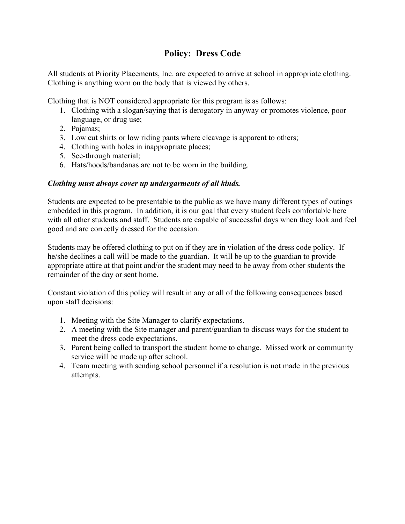## **Policy: Dress Code**

All students at Priority Placements, Inc. are expected to arrive at school in appropriate clothing. Clothing is anything worn on the body that is viewed by others.

Clothing that is NOT considered appropriate for this program is as follows:

- 1. Clothing with a slogan/saying that is derogatory in anyway or promotes violence, poor language, or drug use;
- 2. Pajamas;
- 3. Low cut shirts or low riding pants where cleavage is apparent to others;
- 4. Clothing with holes in inappropriate places;
- 5. See-through material;
- 6. Hats/hoods/bandanas are not to be worn in the building.

#### *Clothing must always cover up undergarments of all kinds.*

Students are expected to be presentable to the public as we have many different types of outings embedded in this program. In addition, it is our goal that every student feels comfortable here with all other students and staff. Students are capable of successful days when they look and feel good and are correctly dressed for the occasion.

Students may be offered clothing to put on if they are in violation of the dress code policy. If he/she declines a call will be made to the guardian. It will be up to the guardian to provide appropriate attire at that point and/or the student may need to be away from other students the remainder of the day or sent home.

Constant violation of this policy will result in any or all of the following consequences based upon staff decisions:

- 1. Meeting with the Site Manager to clarify expectations.
- 2. A meeting with the Site manager and parent/guardian to discuss ways for the student to meet the dress code expectations.
- 3. Parent being called to transport the student home to change. Missed work or community service will be made up after school.
- 4. Team meeting with sending school personnel if a resolution is not made in the previous attempts.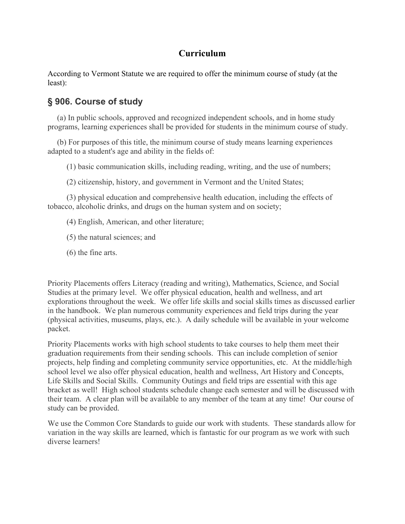## **Curriculum**

According to Vermont Statute we are required to offer the minimum course of study (at the least):

## **§ 906. Course of study**

(a) In public schools, approved and recognized independent schools, and in home study programs, learning experiences shall be provided for students in the minimum course of study.

(b) For purposes of this title, the minimum course of study means learning experiences adapted to a student's age and ability in the fields of:

(1) basic communication skills, including reading, writing, and the use of numbers;

(2) citizenship, history, and government in Vermont and the United States;

(3) physical education and comprehensive health education, including the effects of tobacco, alcoholic drinks, and drugs on the human system and on society;

(4) English, American, and other literature;

(5) the natural sciences; and

(6) the fine arts.

Priority Placements offers Literacy (reading and writing), Mathematics, Science, and Social Studies at the primary level. We offer physical education, health and wellness, and art explorations throughout the week. We offer life skills and social skills times as discussed earlier in the handbook. We plan numerous community experiences and field trips during the year (physical activities, museums, plays, etc.). A daily schedule will be available in your welcome packet.

Priority Placements works with high school students to take courses to help them meet their graduation requirements from their sending schools. This can include completion of senior projects, help finding and completing community service opportunities, etc. At the middle/high school level we also offer physical education, health and wellness, Art History and Concepts, Life Skills and Social Skills. Community Outings and field trips are essential with this age bracket as well! High school students schedule change each semester and will be discussed with their team. A clear plan will be available to any member of the team at any time! Our course of study can be provided.

We use the Common Core Standards to guide our work with students. These standards allow for variation in the way skills are learned, which is fantastic for our program as we work with such diverse learners!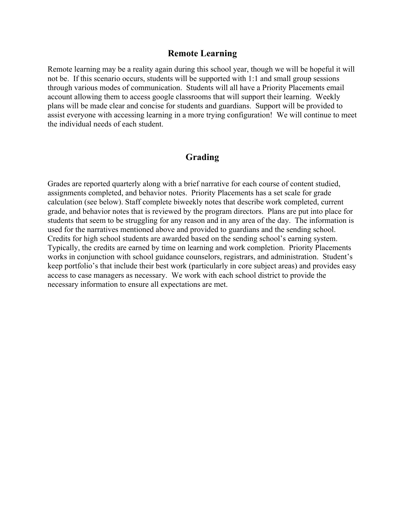#### **Remote Learning**

Remote learning may be a reality again during this school year, though we will be hopeful it will not be. If this scenario occurs, students will be supported with 1:1 and small group sessions through various modes of communication. Students will all have a Priority Placements email account allowing them to access google classrooms that will support their learning. Weekly plans will be made clear and concise for students and guardians. Support will be provided to assist everyone with accessing learning in a more trying configuration! We will continue to meet the individual needs of each student.

## **Grading**

Grades are reported quarterly along with a brief narrative for each course of content studied, assignments completed, and behavior notes. Priority Placements has a set scale for grade calculation (see below). Staff complete biweekly notes that describe work completed, current grade, and behavior notes that is reviewed by the program directors. Plans are put into place for students that seem to be struggling for any reason and in any area of the day. The information is used for the narratives mentioned above and provided to guardians and the sending school. Credits for high school students are awarded based on the sending school's earning system. Typically, the credits are earned by time on learning and work completion. Priority Placements works in conjunction with school guidance counselors, registrars, and administration. Student's keep portfolio's that include their best work (particularly in core subject areas) and provides easy access to case managers as necessary. We work with each school district to provide the necessary information to ensure all expectations are met.